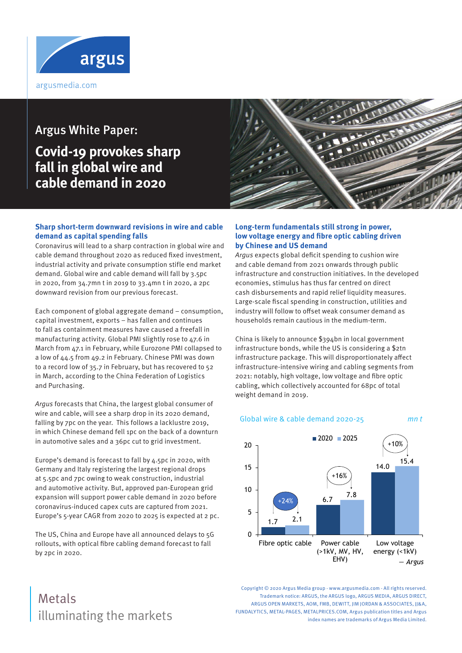

# Argus White Paper:

# **Covid-19 provokes sharp fall in global wire and cable demand in 2020**



### **Sharp short-term downward revisions in wire and cable demand as capital spending falls**

Coronavirus will lead to a sharp contraction in global wire and cable demand throughout 2020 as reduced fixed investment, industrial activity and private consumption stifle end market demand. Global wire and cable demand will fall by 3.5pc in 2020, from 34.7mn t in 2019 to 33.4mn t in 2020, a 2pc downward revision from our previous forecast.

Each component of global aggregate demand – consumption, capital investment, exports – has fallen and continues to fall as containment measures have caused a freefall in manufacturing activity. Global PMI slightly rose to 47.6 in March from 47.1 in February, while Eurozone PMI collapsed to a low of 44.5 from 49.2 in February. Chinese PMI was down to a record low of 35.7 in February, but has recovered to 52 in March, according to the China Federation of Logistics and Purchasing.

Argus forecasts that China, the largest global consumer of wire and cable, will see a sharp drop in its 2020 demand, falling by 7pc on the year. This follows a lacklustre 2019, in which Chinese demand fell 1pc on the back of a downturn in automotive sales and a 36pc cut to grid investment.

Europe's demand is forecast to fall by 4.5pc in 2020, with Germany and Italy registering the largest regional drops at 5.5pc and 7pc owing to weak construction, industrial and automotive activity. But, approved pan-European grid expansion will support power cable demand in 2020 before coronavirus-induced capex cuts are captured from 2021. Europe's 5-year CAGR from 2020 to 2025 is expected at 2 pc.

The US, China and Europe have all announced delays to 5G rollouts, with optical fibre cabling demand forecast to fall by 2pc in 2020.

### **Long-term fundamentals still strong in power, low voltage energy and fibre optic cabling driven by Chinese and US demand**

Argus expects global deficit spending to cushion wire and cable demand from 2021 onwards through public infrastructure and construction initiatives. In the developed economies, stimulus has thus far centred on direct cash disbursements and rapid relief liquidity measures. Large-scale fiscal spending in construction, utilities and industry will follow to offset weak consumer demand as households remain cautious in the medium-term.

China is likely to announce \$394bn in local government infrastructure bonds, while the US is considering a \$2tn infrastructure package. This will disproportionately affect infrastructure-intensive wiring and cabling segments from 2021: notably, high voltage, low voltage and fibre optic cabling, which collectively accounted for 68pc of total weight demand in 2019.

#### Global wire & cable demand 2020-25 mn t



# illuminating the markets Metals

Copyright © 2020 Argus Media group - www.argusmedia.com - All rights reserved. Trademark notice: ARGUS, the ARGUS logo, ARGUS MEDIA, ARGUS DIRECT, ARGUS OPEN MARKETS, AOM, FMB, DEWITT, IIM JORDAN & ASSOCIATES, II&A, FUNDALYTICS, METAL-PAGES, METALPRICES.COM, Argus publication titles and Argus index names are trademarks of Argus Media Limited.